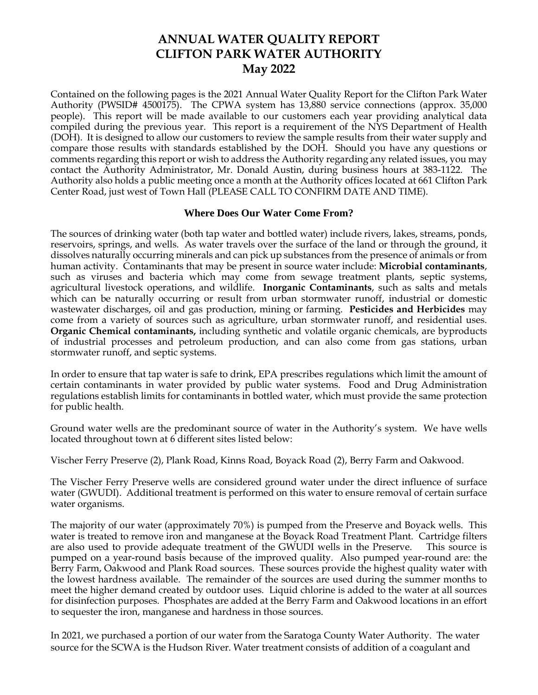# **ANNUAL WATER QUALITY REPORT CLIFTON PARK WATER AUTHORITY May 2022**

Contained on the following pages is the 2021 Annual Water Quality Report for the Clifton Park Water Authority (PWSID# 4500175). The CPWA system has 13,880 service connections (approx. 35,000 people). This report will be made available to our customers each year providing analytical data compiled during the previous year. This report is a requirement of the NYS Department of Health (DOH). It is designed to allow our customers to review the sample results from their water supply and compare those results with standards established by the DOH. Should you have any questions or comments regarding this report or wish to address the Authority regarding any related issues, you may contact the Authority Administrator, Mr. Donald Austin, during business hours at 383-1122. The Authority also holds a public meeting once a month at the Authority offices located at 661 Clifton Park Center Road, just west of Town Hall (PLEASE CALL TO CONFIRM DATE AND TIME).

#### **Where Does Our Water Come From?**

The sources of drinking water (both tap water and bottled water) include rivers, lakes, streams, ponds, reservoirs, springs, and wells. As water travels over the surface of the land or through the ground, it dissolves naturally occurring minerals and can pick up substances from the presence of animals or from human activity. Contaminants that may be present in source water include: **Microbial contaminants**, such as viruses and bacteria which may come from sewage treatment plants, septic systems, agricultural livestock operations, and wildlife. **Inorganic Contaminants**, such as salts and metals which can be naturally occurring or result from urban stormwater runoff, industrial or domestic wastewater discharges, oil and gas production, mining or farming. **Pesticides and Herbicides** may come from a variety of sources such as agriculture, urban stormwater runoff, and residential uses. **Organic Chemical contaminants,** including synthetic and volatile organic chemicals, are byproducts of industrial processes and petroleum production, and can also come from gas stations, urban stormwater runoff, and septic systems.

In order to ensure that tap water is safe to drink, EPA prescribes regulations which limit the amount of certain contaminants in water provided by public water systems. Food and Drug Administration regulations establish limits for contaminants in bottled water, which must provide the same protection for public health.

Ground water wells are the predominant source of water in the Authority's system. We have wells located throughout town at 6 different sites listed below:

Vischer Ferry Preserve (2), Plank Road, Kinns Road, Boyack Road (2), Berry Farm and Oakwood.

The Vischer Ferry Preserve wells are considered ground water under the direct influence of surface water (GWUDI). Additional treatment is performed on this water to ensure removal of certain surface water organisms.

The majority of our water (approximately 70%) is pumped from the Preserve and Boyack wells. This water is treated to remove iron and manganese at the Boyack Road Treatment Plant. Cartridge filters are also used to provide adequate treatment of the GWUDI wells in the Preserve. This source is pumped on a year-round basis because of the improved quality. Also pumped year-round are: the Berry Farm, Oakwood and Plank Road sources. These sources provide the highest quality water with the lowest hardness available. The remainder of the sources are used during the summer months to meet the higher demand created by outdoor uses. Liquid chlorine is added to the water at all sources for disinfection purposes. Phosphates are added at the Berry Farm and Oakwood locations in an effort to sequester the iron, manganese and hardness in those sources.

In 2021, we purchased a portion of our water from the Saratoga County Water Authority. The water source for the SCWA is the Hudson River. Water treatment consists of addition of a coagulant and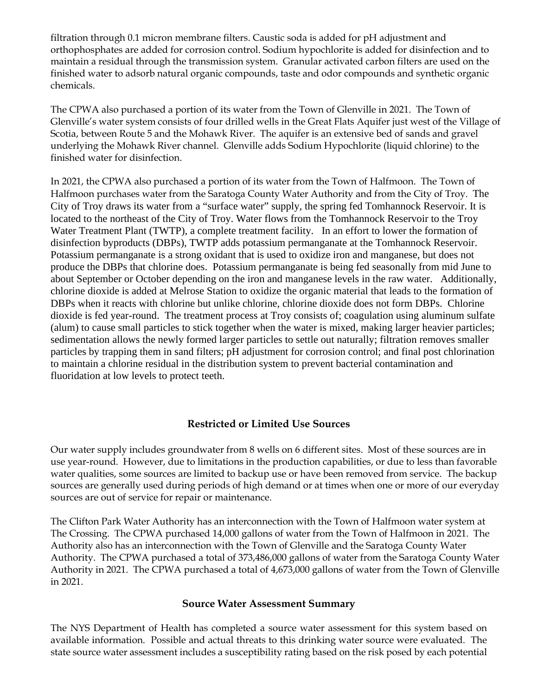filtration through 0.1 micron membrane filters. Caustic soda is added for pH adjustment and orthophosphates are added for corrosion control. Sodium hypochlorite is added for disinfection and to maintain a residual through the transmission system. Granular activated carbon filters are used on the finished water to adsorb natural organic compounds, taste and odor compounds and synthetic organic chemicals.

The CPWA also purchased a portion of its water from the Town of Glenville in 2021. The Town of Glenville's water system consists of four drilled wells in the Great Flats Aquifer just west of the Village of Scotia, between Route 5 and the Mohawk River. The aquifer is an extensive bed of sands and gravel underlying the Mohawk River channel. Glenville adds Sodium Hypochlorite (liquid chlorine) to the finished water for disinfection.

In 2021, the CPWA also purchased a portion of its water from the Town of Halfmoon. The Town of Halfmoon purchases water from the Saratoga County Water Authority and from the City of Troy. The City of Troy draws its water from a "surface water" supply, the spring fed Tomhannock Reservoir. It is located to the northeast of the City of Troy. Water flows from the Tomhannock Reservoir to the Troy Water Treatment Plant (TWTP), a complete treatment facility. In an effort to lower the formation of disinfection byproducts (DBPs), TWTP adds potassium permanganate at the Tomhannock Reservoir. Potassium permanganate is a strong oxidant that is used to oxidize iron and manganese, but does not produce the DBPs that chlorine does. Potassium permanganate is being fed seasonally from mid June to about September or October depending on the iron and manganese levels in the raw water. Additionally, chlorine dioxide is added at Melrose Station to oxidize the organic material that leads to the formation of DBPs when it reacts with chlorine but unlike chlorine, chlorine dioxide does not form DBPs. Chlorine dioxide is fed year-round. The treatment process at Troy consists of; coagulation using aluminum sulfate (alum) to cause small particles to stick together when the water is mixed, making larger heavier particles; sedimentation allows the newly formed larger particles to settle out naturally; filtration removes smaller particles by trapping them in sand filters; pH adjustment for corrosion control; and final post chlorination to maintain a chlorine residual in the distribution system to prevent bacterial contamination and fluoridation at low levels to protect teeth.

## **Restricted or Limited Use Sources**

Our water supply includes groundwater from 8 wells on 6 different sites. Most of these sources are in use year-round. However, due to limitations in the production capabilities, or due to less than favorable water qualities, some sources are limited to backup use or have been removed from service. The backup sources are generally used during periods of high demand or at times when one or more of our everyday sources are out of service for repair or maintenance.

The Clifton Park Water Authority has an interconnection with the Town of Halfmoon water system at The Crossing. The CPWA purchased 14,000 gallons of water from the Town of Halfmoon in 2021. The Authority also has an interconnection with the Town of Glenville and the Saratoga County Water Authority. The CPWA purchased a total of 373,486,000 gallons of water from the Saratoga County Water Authority in 2021. The CPWA purchased a total of 4,673,000 gallons of water from the Town of Glenville in 2021.

## **Source Water Assessment Summary**

The NYS Department of Health has completed a source water assessment for this system based on available information. Possible and actual threats to this drinking water source were evaluated. The state source water assessment includes a susceptibility rating based on the risk posed by each potential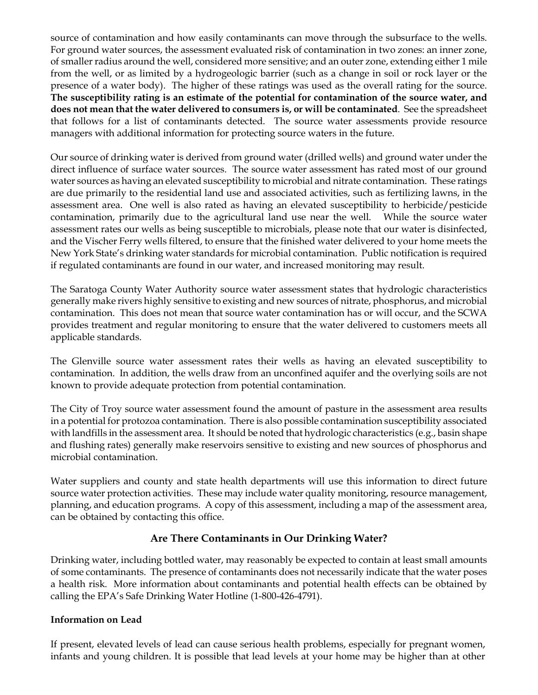source of contamination and how easily contaminants can move through the subsurface to the wells. For ground water sources, the assessment evaluated risk of contamination in two zones: an inner zone, of smaller radius around the well, considered more sensitive; and an outer zone, extending either 1 mile from the well, or as limited by a hydrogeologic barrier (such as a change in soil or rock layer or the presence of a water body). The higher of these ratings was used as the overall rating for the source. **The susceptibility rating is an estimate of the potential for contamination of the source water, and does not mean that the water delivered to consumers is, or will be contaminated**. See the spreadsheet that follows for a list of contaminants detected. The source water assessments provide resource managers with additional information for protecting source waters in the future.

Our source of drinking water is derived from ground water (drilled wells) and ground water under the direct influence of surface water sources. The source water assessment has rated most of our ground water sources as having an elevated susceptibility to microbial and nitrate contamination. These ratings are due primarily to the residential land use and associated activities, such as fertilizing lawns, in the assessment area. One well is also rated as having an elevated susceptibility to herbicide/pesticide contamination, primarily due to the agricultural land use near the well. While the source water assessment rates our wells as being susceptible to microbials, please note that our water is disinfected, and the Vischer Ferry wells filtered, to ensure that the finished water delivered to your home meets the New York State's drinking water standards for microbial contamination. Public notification is required if regulated contaminants are found in our water, and increased monitoring may result.

The Saratoga County Water Authority source water assessment states that hydrologic characteristics generally make rivers highly sensitive to existing and new sources of nitrate, phosphorus, and microbial contamination. This does not mean that source water contamination has or will occur, and the SCWA provides treatment and regular monitoring to ensure that the water delivered to customers meets all applicable standards.

The Glenville source water assessment rates their wells as having an elevated susceptibility to contamination. In addition, the wells draw from an unconfined aquifer and the overlying soils are not known to provide adequate protection from potential contamination.

The City of Troy source water assessment found the amount of pasture in the assessment area results in a potential for protozoa contamination. There is also possible contamination susceptibility associated with landfills in the assessment area. It should be noted that hydrologic characteristics (e.g., basin shape and flushing rates) generally make reservoirs sensitive to existing and new sources of phosphorus and microbial contamination.

Water suppliers and county and state health departments will use this information to direct future source water protection activities. These may include water quality monitoring, resource management, planning, and education programs. A copy of this assessment, including a map of the assessment area, can be obtained by contacting this office.

## **Are There Contaminants in Our Drinking Water?**

Drinking water, including bottled water, may reasonably be expected to contain at least small amounts of some contaminants. The presence of contaminants does not necessarily indicate that the water poses a health risk. More information about contaminants and potential health effects can be obtained by calling the EPA's Safe Drinking Water Hotline (1-800-426-4791).

## **Information on Lead**

If present, elevated levels of lead can cause serious health problems, especially for pregnant women, infants and young children. It is possible that lead levels at your home may be higher than at other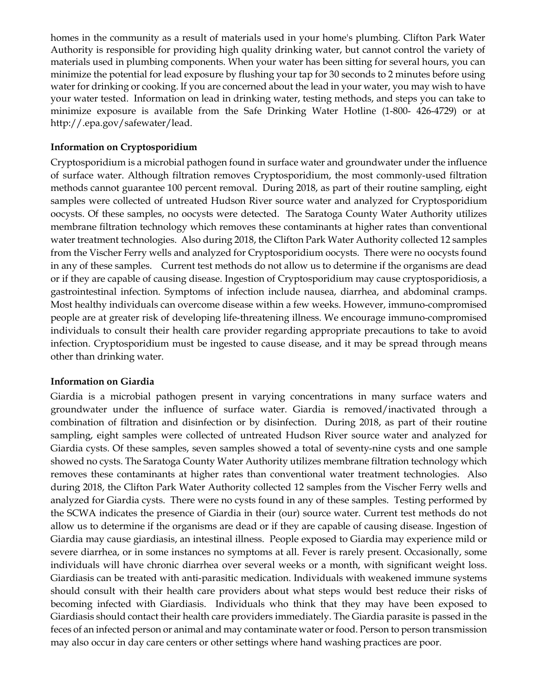homes in the community as a result of materials used in your home's plumbing. Clifton Park Water Authority is responsible for providing high quality drinking water, but cannot control the variety of materials used in plumbing components. When your water has been sitting for several hours, you can minimize the potential for lead exposure by flushing your tap for 30 seconds to 2 minutes before using water for drinking or cooking. If you are concerned about the lead in your water, you may wish to have your water tested. Information on lead in drinking water, testing methods, and steps you can take to minimize exposure is available from the Safe Drinking Water Hotline (1-800- 426-4729) or at http://.epa.gov/safewater/lead.

#### **Information on Cryptosporidium**

Cryptosporidium is a microbial pathogen found in surface water and groundwater under the influence of surface water. Although filtration removes Cryptosporidium, the most commonly-used filtration methods cannot guarantee 100 percent removal. During 2018, as part of their routine sampling, eight samples were collected of untreated Hudson River source water and analyzed for Cryptosporidium oocysts. Of these samples, no oocysts were detected. The Saratoga County Water Authority utilizes membrane filtration technology which removes these contaminants at higher rates than conventional water treatment technologies. Also during 2018, the Clifton Park Water Authority collected 12 samples from the Vischer Ferry wells and analyzed for Cryptosporidium oocysts. There were no oocysts found in any of these samples. Current test methods do not allow us to determine if the organisms are dead or if they are capable of causing disease. Ingestion of Cryptosporidium may cause cryptosporidiosis, a gastrointestinal infection. Symptoms of infection include nausea, diarrhea, and abdominal cramps. Most healthy individuals can overcome disease within a few weeks. However, immuno-compromised people are at greater risk of developing life-threatening illness. We encourage immuno-compromised individuals to consult their health care provider regarding appropriate precautions to take to avoid infection. Cryptosporidium must be ingested to cause disease, and it may be spread through means other than drinking water.

#### **Information on Giardia**

Giardia is a microbial pathogen present in varying concentrations in many surface waters and groundwater under the influence of surface water. Giardia is removed/inactivated through a combination of filtration and disinfection or by disinfection. During 2018, as part of their routine sampling, eight samples were collected of untreated Hudson River source water and analyzed for Giardia cysts. Of these samples, seven samples showed a total of seventy-nine cysts and one sample showed no cysts. The Saratoga County Water Authority utilizes membrane filtration technology which removes these contaminants at higher rates than conventional water treatment technologies. Also during 2018, the Clifton Park Water Authority collected 12 samples from the Vischer Ferry wells and analyzed for Giardia cysts. There were no cysts found in any of these samples. Testing performed by the SCWA indicates the presence of Giardia in their (our) source water. Current test methods do not allow us to determine if the organisms are dead or if they are capable of causing disease. Ingestion of Giardia may cause giardiasis, an intestinal illness. People exposed to Giardia may experience mild or severe diarrhea, or in some instances no symptoms at all. Fever is rarely present. Occasionally, some individuals will have chronic diarrhea over several weeks or a month, with significant weight loss. Giardiasis can be treated with anti-parasitic medication. Individuals with weakened immune systems should consult with their health care providers about what steps would best reduce their risks of becoming infected with Giardiasis. Individuals who think that they may have been exposed to Giardiasis should contact their health care providers immediately. The Giardia parasite is passed in the feces of an infected person or animal and may contaminate water or food. Person to person transmission may also occur in day care centers or other settings where hand washing practices are poor.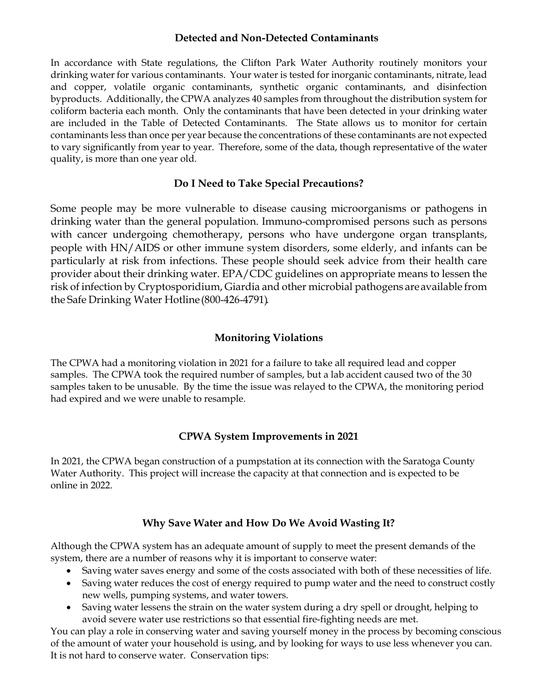#### **Detected and Non-Detected Contaminants**

In accordance with State regulations, the Clifton Park Water Authority routinely monitors your drinking water for various contaminants. Your water is tested for inorganic contaminants, nitrate, lead and copper, volatile organic contaminants, synthetic organic contaminants, and disinfection byproducts. Additionally, the CPWA analyzes 40 samples from throughout the distribution system for coliform bacteria each month. Only the contaminants that have been detected in your drinking water are included in the Table of Detected Contaminants. The State allows us to monitor for certain contaminants less than once per year because the concentrations of these contaminants are not expected to vary significantly from year to year. Therefore, some of the data, though representative of the water quality, is more than one year old.

## **Do I Need to Take Special Precautions?**

Some people may be more vulnerable to disease causing microorganisms or pathogens in drinking water than the general population. Immuno-compromised persons such as persons with cancer undergoing chemotherapy, persons who have undergone organ transplants, people with HN/AIDS or other immune system disorders, some elderly, and infants can be particularly at risk from infections. These people should seek advice from their health care provider about their drinking water. EPA/CDC guidelines on appropriate means to lessen the risk of infection by Cryptosporidium, Giardia and other microbial pathogens areavailable from the Safe Drinking Water Hotline (800-426-4791).

## **Monitoring Violations**

The CPWA had a monitoring violation in 2021 for a failure to take all required lead and copper samples. The CPWA took the required number of samples, but a lab accident caused two of the 30 samples taken to be unusable. By the time the issue was relayed to the CPWA, the monitoring period had expired and we were unable to resample.

## **CPWA System Improvements in 2021**

In 2021, the CPWA began construction of a pumpstation at its connection with the Saratoga County Water Authority. This project will increase the capacity at that connection and is expected to be online in 2022.

## **Why Save Water and How Do We Avoid Wasting It?**

Although the CPWA system has an adequate amount of supply to meet the present demands of the system, there are a number of reasons why it is important to conserve water:

- Saving water saves energy and some of the costs associated with both of these necessities of life.
- Saving water reduces the cost of energy required to pump water and the need to construct costly new wells, pumping systems, and water towers.
- Saving water lessens the strain on the water system during a dry spell or drought, helping to avoid severe water use restrictions so that essential fire-fighting needs are met.

You can play a role in conserving water and saving yourself money in the process by becoming conscious of the amount of water your household is using, and by looking for ways to use less whenever you can. It is not hard to conserve water. Conservation tips: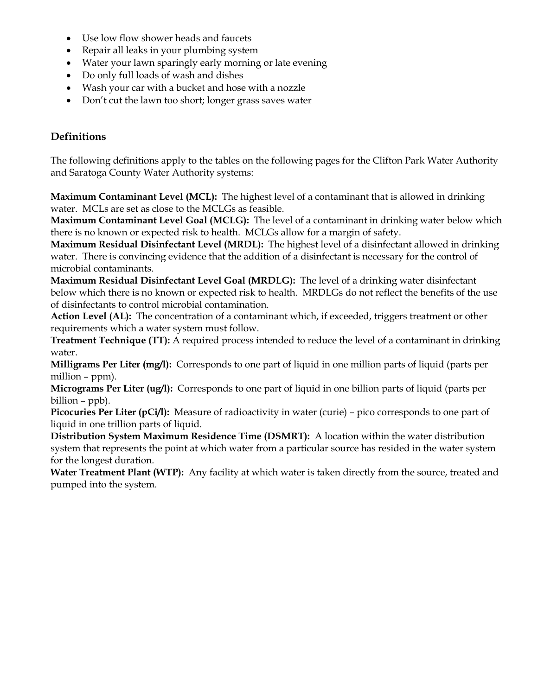- Use low flow shower heads and faucets
- Repair all leaks in your plumbing system
- Water your lawn sparingly early morning or late evening
- Do only full loads of wash and dishes
- Wash your car with a bucket and hose with a nozzle
- Don't cut the lawn too short; longer grass saves water

## **Definitions**

The following definitions apply to the tables on the following pages for the Clifton Park Water Authority and Saratoga County Water Authority systems:

**Maximum Contaminant Level (MCL):** The highest level of a contaminant that is allowed in drinking water. MCLs are set as close to the MCLGs as feasible.

**Maximum Contaminant Level Goal (MCLG):** The level of a contaminant in drinking water below which there is no known or expected risk to health. MCLGs allow for a margin of safety.

**Maximum Residual Disinfectant Level (MRDL):** The highest level of a disinfectant allowed in drinking water. There is convincing evidence that the addition of a disinfectant is necessary for the control of microbial contaminants.

**Maximum Residual Disinfectant Level Goal (MRDLG):** The level of a drinking water disinfectant below which there is no known or expected risk to health. MRDLGs do not reflect the benefits of the use of disinfectants to control microbial contamination.

**Action Level (AL):** The concentration of a contaminant which, if exceeded, triggers treatment or other requirements which a water system must follow.

**Treatment Technique (TT):** A required process intended to reduce the level of a contaminant in drinking water.

**Milligrams Per Liter (mg/l):** Corresponds to one part of liquid in one million parts of liquid (parts per million – ppm).

**Micrograms Per Liter (ug/l):** Corresponds to one part of liquid in one billion parts of liquid (parts per billion – ppb).

**Picocuries Per Liter (pCi/l):** Measure of radioactivity in water (curie) – pico corresponds to one part of liquid in one trillion parts of liquid.

**Distribution System Maximum Residence Time (DSMRT):** A location within the water distribution system that represents the point at which water from a particular source has resided in the water system for the longest duration.

**Water Treatment Plant (WTP):** Any facility at which water is taken directly from the source, treated and pumped into the system.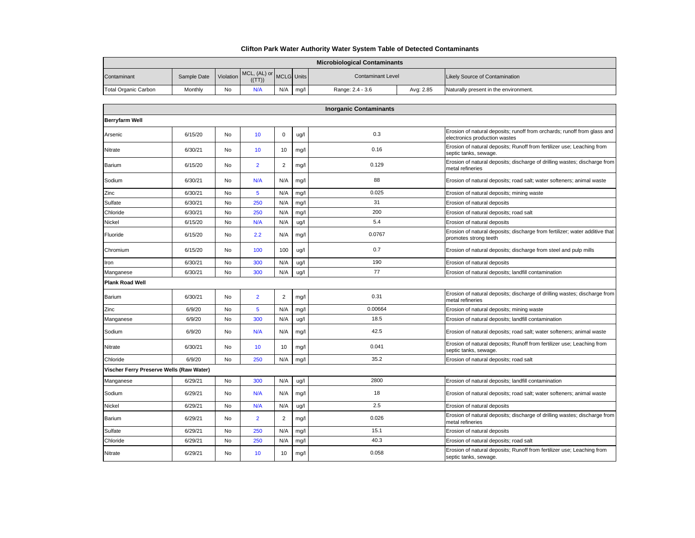#### **Clifton Park Water Authority Water System Table of Detected Contaminants**

| <b>Microbiological Contaminants</b> |             |           |                                   |     |      |                          |           |                                       |  |  |
|-------------------------------------|-------------|-----------|-----------------------------------|-----|------|--------------------------|-----------|---------------------------------------|--|--|
| Contaminant                         | Sample Date | Violation | MCL, (AL) or MCLG Units<br>((TT)) |     |      | <b>Contaminant Level</b> |           | <b>Likely Source of Contamination</b> |  |  |
| <b>Total Organic Carbon</b>         | Monthly     | No        | N/A                               | N/A | mg/l | Range: 2.4 - 3.6         | Avg: 2.85 | Naturally present in the environment. |  |  |

| <b>Inorganic Contaminants</b>            |         |           |                |                |      |         |                                                                                                           |  |  |
|------------------------------------------|---------|-----------|----------------|----------------|------|---------|-----------------------------------------------------------------------------------------------------------|--|--|
| <b>Berryfarm Well</b>                    |         |           |                |                |      |         |                                                                                                           |  |  |
| Arsenic                                  | 6/15/20 | No        | 10             | 0              | ug/l | 0.3     | Erosion of natural deposits; runoff from orchards; runoff from glass and<br>electronics production wastes |  |  |
| Nitrate                                  | 6/30/21 | No        | 10             | 10             | mg/l | 0.16    | Erosion of natural deposits; Runoff from fertilizer use; Leaching from<br>septic tanks, sewage.           |  |  |
| Barium                                   | 6/15/20 | No        | $\overline{2}$ | $\overline{2}$ | mg/l | 0.129   | Erosion of natural deposits; discharge of drilling wastes; discharge from<br>metal refineries             |  |  |
| Sodium                                   | 6/30/21 | No        | N/A            | N/A            | mg/l | 88      | Erosion of natural deposits; road salt; water softeners; animal waste                                     |  |  |
| Zinc                                     | 6/30/21 | No        | 5              | N/A            | mg/l | 0.025   | Erosion of natural deposits; mining waste                                                                 |  |  |
| Sulfate                                  | 6/30/21 | No        | 250            | N/A            | mg/l | 31      | Erosion of natural deposits                                                                               |  |  |
| Chloride                                 | 6/30/21 | No        | 250            | N/A            | mg/l | 200     | Erosion of natural deposits; road salt                                                                    |  |  |
| <b>Nickel</b>                            | 6/15/20 | <b>No</b> | N/A            | N/A            | ug/l | 5.4     | Erosion of natural deposits                                                                               |  |  |
| Fluoride                                 | 6/15/20 | No        | 2.2            | N/A            | mg/l | 0.0767  | Erosion of natural deposits; discharge from fertilizer; water additive that<br>promotes strong teeth      |  |  |
| Chromium                                 | 6/15/20 | No        | 100            | 100            | ug/l | 0.7     | Erosion of natural deposits; discharge from steel and pulp mills                                          |  |  |
| Iron                                     | 6/30/21 | No        | 300            | N/A            | ug/l | 190     | Erosion of natural deposits                                                                               |  |  |
| Manganese                                | 6/30/21 | <b>No</b> | 300            | N/A            | ug/l | 77      | Erosion of natural deposits; landfill contamination                                                       |  |  |
| <b>Plank Road Well</b>                   |         |           |                |                |      |         |                                                                                                           |  |  |
| Barium                                   | 6/30/21 | No        | $\overline{2}$ | $\overline{2}$ | mg/l | 0.31    | Erosion of natural deposits; discharge of drilling wastes; discharge from<br>metal refineries             |  |  |
| Zinc                                     | 6/9/20  | No        | 5              | N/A            | mg/l | 0.00664 | Erosion of natural deposits; mining waste                                                                 |  |  |
| Manganese                                | 6/9/20  | No        | 300            | N/A            | ug/l | 18.5    | Erosion of natural deposits; landfill contamination                                                       |  |  |
| Sodium                                   | 6/9/20  | No        | N/A            | N/A            | mg/l | 42.5    | Erosion of natural deposits; road salt; water softeners; animal waste                                     |  |  |
| Nitrate                                  | 6/30/21 | No        | 10             | 10             | mg/  | 0.041   | Erosion of natural deposits; Runoff from fertilizer use; Leaching from<br>septic tanks, sewage.           |  |  |
| Chloride                                 | 6/9/20  | <b>No</b> | 250            | N/A            | mg/l | 35.2    | Erosion of natural deposits; road salt                                                                    |  |  |
| Vischer Ferry Preserve Wells (Raw Water) |         |           |                |                |      |         |                                                                                                           |  |  |
| Manganese                                | 6/29/21 | <b>No</b> | 300            | N/A            | ug/l | 2800    | Erosion of natural deposits; landfill contamination                                                       |  |  |
| Sodium                                   | 6/29/21 | No        | N/A            | N/A            | mg/l | 18      | Erosion of natural deposits; road salt; water softeners; animal waste                                     |  |  |
| Nickel                                   | 6/29/21 | No        | N/A            | N/A            | ug/l | 2.5     | Erosion of natural deposits                                                                               |  |  |
| Barium                                   | 6/29/21 | No        | $\overline{2}$ | $\overline{2}$ | mg/l | 0.026   | Erosion of natural deposits; discharge of drilling wastes; discharge from<br>metal refineries             |  |  |
| Sulfate                                  | 6/29/21 | <b>No</b> | 250            | N/A            | mg/l | 15.1    | Erosion of natural deposits                                                                               |  |  |
| Chloride                                 | 6/29/21 | No        | 250            | N/A            | mg/l | 40.3    | Erosion of natural deposits; road salt                                                                    |  |  |
| Nitrate                                  | 6/29/21 | No        | 10             | 10             | mg/l | 0.058   | Erosion of natural deposits; Runoff from fertilizer use; Leaching from<br>septic tanks, sewage.           |  |  |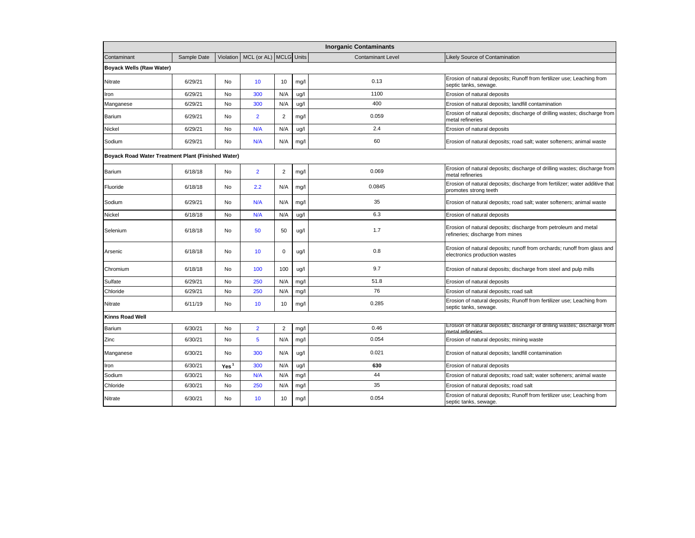| <b>Inorganic Contaminants</b>                      |             |                  |                                      |                |      |                          |                                                                                                           |  |  |  |
|----------------------------------------------------|-------------|------------------|--------------------------------------|----------------|------|--------------------------|-----------------------------------------------------------------------------------------------------------|--|--|--|
| Contaminant                                        | Sample Date |                  | Violation   MCL (or AL)   MCLG Units |                |      | <b>Contaminant Level</b> | Likely Source of Contamination                                                                            |  |  |  |
| <b>Boyack Wells (Raw Water)</b>                    |             |                  |                                      |                |      |                          |                                                                                                           |  |  |  |
| Nitrate                                            | 6/29/21     | No               | 10 <sup>10</sup>                     | 10             | mg/l | 0.13                     | Erosion of natural deposits; Runoff from fertilizer use; Leaching from<br>septic tanks, sewage.           |  |  |  |
| Iron                                               | 6/29/21     | <b>No</b>        | 300                                  | N/A            | ug/l | 1100                     | Erosion of natural deposits                                                                               |  |  |  |
| Manganese                                          | 6/29/21     | No               | 300                                  | N/A            | ug/l | 400                      | Erosion of natural deposits; landfill contamination                                                       |  |  |  |
| Barium                                             | 6/29/21     | No               | $\overline{2}$                       | $\overline{2}$ | mg/l | 0.059                    | Erosion of natural deposits; discharge of drilling wastes; discharge from<br>metal refineries             |  |  |  |
| Nickel                                             | 6/29/21     | No               | N/A                                  | N/A            | ug/l | 2.4                      | Erosion of natural deposits                                                                               |  |  |  |
| Sodium                                             | 6/29/21     | No               | N/A                                  | N/A            | mg/l | 60                       | Erosion of natural deposits; road salt; water softeners; animal waste                                     |  |  |  |
| Boyack Road Water Treatment Plant (Finished Water) |             |                  |                                      |                |      |                          |                                                                                                           |  |  |  |
| Barium                                             | 6/18/18     | No               | $\overline{2}$                       | $\sqrt{2}$     | mg/l | 0.069                    | Erosion of natural deposits; discharge of drilling wastes; discharge from<br>metal refineries             |  |  |  |
| Fluoride                                           | 6/18/18     | No               | 2.2                                  | N/A            | mg/l | 0.0845                   | Erosion of natural deposits; discharge from fertilizer; water additive that<br>promotes strong teeth      |  |  |  |
| Sodium                                             | 6/29/21     | No               | N/A                                  | N/A            | mg/l | 35                       | Erosion of natural deposits; road salt; water softeners; animal waste                                     |  |  |  |
| Nickel                                             | 6/18/18     | No               | N/A                                  | N/A            | ug/l | 6.3                      | Erosion of natural deposits                                                                               |  |  |  |
| Selenium                                           | 6/18/18     | No               | 50                                   | 50             | ug/l | 1.7                      | Erosion of natural deposits; discharge from petroleum and metal<br>refineries; discharge from mines       |  |  |  |
| Arsenic                                            | 6/18/18     | No               | 10                                   | 0              | ug/l | 0.8                      | Erosion of natural deposits; runoff from orchards; runoff from glass and<br>electronics production wastes |  |  |  |
| Chromium                                           | 6/18/18     | No               | 100                                  | 100            | ug/l | 9.7                      | Erosion of natural deposits; discharge from steel and pulp mills                                          |  |  |  |
| Sulfate                                            | 6/29/21     | <b>No</b>        | 250                                  | N/A            | mg/l | 51.8                     | Erosion of natural deposits                                                                               |  |  |  |
| Chloride                                           | 6/29/21     | No               | 250                                  | N/A            | mg/l | 76                       | Erosion of natural deposits; road salt                                                                    |  |  |  |
| Nitrate                                            | 6/11/19     | No               | 10                                   | 10             | mg/l | 0.285                    | Erosion of natural deposits; Runoff from fertilizer use; Leaching from<br>septic tanks, sewage.           |  |  |  |
| Kinns Road Well                                    |             |                  |                                      |                |      |                          |                                                                                                           |  |  |  |
| Barium                                             | 6/30/21     | No               | $\overline{2}$                       | $\overline{2}$ | mg/l | 0.46                     | Erosion of natural deposits; discharge of drilling wastes; discharge from<br>metal refineries             |  |  |  |
| Zinc                                               | 6/30/21     | No               | 5                                    | N/A            | mg/l | 0.054                    | Erosion of natural deposits; mining waste                                                                 |  |  |  |
| Manganese                                          | 6/30/21     | No               | 300                                  | N/A            | ug/l | 0.021                    | Erosion of natural deposits; landfill contamination                                                       |  |  |  |
| Iron                                               | 6/30/21     | Yes <sup>1</sup> | 300                                  | N/A            | ug/l | 630                      | Erosion of natural deposits                                                                               |  |  |  |
| Sodium                                             | 6/30/21     | No               | N/A                                  | N/A            | mg/  | 44                       | Erosion of natural deposits; road salt; water softeners; animal waste                                     |  |  |  |
| Chloride                                           | 6/30/21     | No               | 250                                  | N/A            | mg/l | 35                       | Erosion of natural deposits; road salt                                                                    |  |  |  |
| Nitrate                                            | 6/30/21     | No               | 10                                   | 10             | mg/l | 0.054                    | Erosion of natural deposits; Runoff from fertilizer use; Leaching from<br>septic tanks, sewage.           |  |  |  |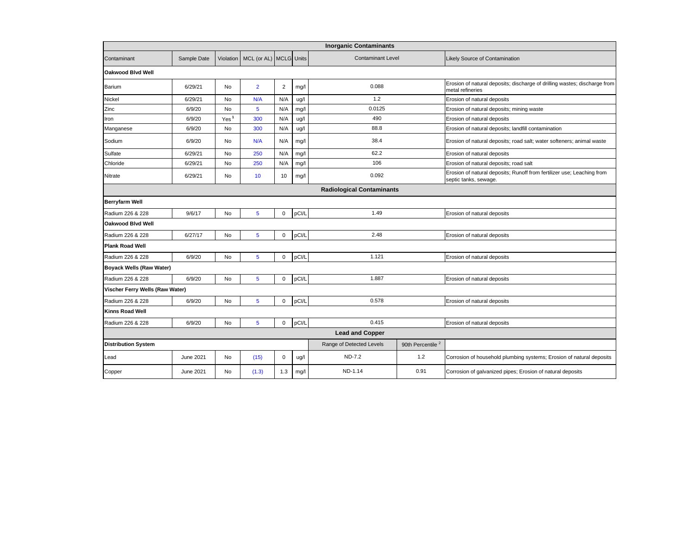| <b>Inorganic Contaminants</b>    |             |                  |                                        |             |       |                          |                              |                                                                                                 |  |  |
|----------------------------------|-------------|------------------|----------------------------------------|-------------|-------|--------------------------|------------------------------|-------------------------------------------------------------------------------------------------|--|--|
| Contaminant                      | Sample Date |                  | Violation   MCL (or AL)   MCLG   Units |             |       | <b>Contaminant Level</b> |                              | Likely Source of Contamination                                                                  |  |  |
| <b>Oakwood Blvd Well</b>         |             |                  |                                        |             |       |                          |                              |                                                                                                 |  |  |
| Barium                           | 6/29/21     | No               | $\overline{2}$                         | 2           | mg/l  | 0.088                    |                              | Erosion of natural deposits; discharge of drilling wastes; discharge from<br>metal refineries   |  |  |
| Nickel                           | 6/29/21     | <b>No</b>        | N/A                                    | N/A         | ug/l  | 1.2                      |                              | Erosion of natural deposits                                                                     |  |  |
| Zinc                             | 6/9/20      | <b>No</b>        | 5                                      | N/A         | mg/l  | 0.0125                   |                              | Erosion of natural deposits; mining waste                                                       |  |  |
| Iron                             | 6/9/20      | Yes <sup>1</sup> | 300                                    | N/A         | ug/l  | 490                      |                              | Erosion of natural deposits                                                                     |  |  |
| Manganese                        | 6/9/20      | No               | 300                                    | N/A         | ug/l  | 88.8                     |                              | Erosion of natural deposits; landfill contamination                                             |  |  |
| Sodium                           | 6/9/20      | No               | N/A                                    | N/A         | mg/l  | 38.4                     |                              | Erosion of natural deposits; road salt; water softeners; animal waste                           |  |  |
| Sulfate                          | 6/29/21     | No               | 250                                    | N/A         | mg/l  | 62.2                     |                              | Erosion of natural deposits                                                                     |  |  |
| Chloride                         | 6/29/21     | No               | 250                                    | N/A         | mg/l  | 106                      |                              | Erosion of natural deposits; road salt                                                          |  |  |
| Nitrate                          | 6/29/21     | No               | 10                                     | 10          | mg/l  | 0.092                    |                              | Erosion of natural deposits; Runoff from fertilizer use; Leaching from<br>septic tanks, sewage. |  |  |
| <b>Radiological Contaminants</b> |             |                  |                                        |             |       |                          |                              |                                                                                                 |  |  |
| <b>Berryfarm Well</b>            |             |                  |                                        |             |       |                          |                              |                                                                                                 |  |  |
| Radium 226 & 228                 | 9/6/17      | No               | $5\phantom{1}$                         | 0           | pCI/L | 1.49                     |                              | Erosion of natural deposits                                                                     |  |  |
| Oakwood Blvd Well                |             |                  |                                        |             |       |                          |                              |                                                                                                 |  |  |
| Radium 226 & 228                 | 6/27/17     | No               | $\overline{5}$                         | 0           | pCI/L | 2.48                     |                              | Erosion of natural deposits                                                                     |  |  |
| <b>Plank Road Well</b>           |             |                  |                                        |             |       |                          |                              |                                                                                                 |  |  |
| Radium 226 & 228                 | 6/9/20      | No               | $5\phantom{1}$                         | $\mathbf 0$ | pCI/L | 1.121                    |                              | Erosion of natural deposits                                                                     |  |  |
| Boyack Wells (Raw Water)         |             |                  |                                        |             |       |                          |                              |                                                                                                 |  |  |
| Radium 226 & 228                 | 6/9/20      | <b>No</b>        | $\overline{5}$                         | $\mathbf 0$ | pCI/L | 1.887                    |                              | Erosion of natural deposits                                                                     |  |  |
| Vischer Ferry Wells (Raw Water)  |             |                  |                                        |             |       |                          |                              |                                                                                                 |  |  |
| Radium 226 & 228                 | 6/9/20      | No               | $5\phantom{1}$                         | $\mathsf 0$ | pCI/L | 0.578                    |                              | Erosion of natural deposits                                                                     |  |  |
| Kinns Road Well                  |             |                  |                                        |             |       |                          |                              |                                                                                                 |  |  |
| Radium 226 & 228                 | 6/9/20      | <b>No</b>        | $\overline{5}$                         | $\Omega$    | pCl/L | 0.415                    |                              | Erosion of natural deposits                                                                     |  |  |
|                                  |             |                  |                                        |             |       | <b>Lead and Copper</b>   |                              |                                                                                                 |  |  |
| <b>Distribution System</b>       |             |                  |                                        |             |       | Range of Detected Levels | 90th Percentile <sup>2</sup> |                                                                                                 |  |  |
| Lead                             | June 2021   | No               | (15)                                   | $\mathbf 0$ | ug/l  | <b>ND-7.2</b>            | 1.2                          | Corrosion of household plumbing systems; Erosion of natural deposits                            |  |  |
| Copper                           | June 2021   | No               | (1.3)                                  | 1.3         | mg/l  | ND-1.14                  | 0.91                         | Corrosion of galvanized pipes; Erosion of natural deposits                                      |  |  |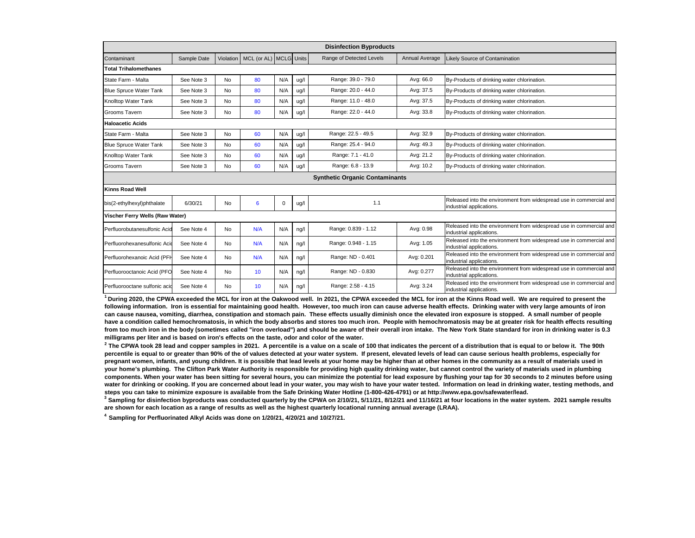|                                       |             |           |                        |     |      | <b>Disinfection Byproducts</b> |                |                                                                                                 |  |  |  |
|---------------------------------------|-------------|-----------|------------------------|-----|------|--------------------------------|----------------|-------------------------------------------------------------------------------------------------|--|--|--|
| Contaminant                           | Sample Date | Violation | MCL (or AL) MCLG Units |     |      | Range of Detected Levels       | Annual Average | Likely Source of Contamination                                                                  |  |  |  |
| <b>Total Trihalomethanes</b>          |             |           |                        |     |      |                                |                |                                                                                                 |  |  |  |
| State Farm - Malta                    | See Note 3  | No        | 80                     | N/A | ug/l | Range: 39.0 - 79.0             | Avg: 66.0      | By-Products of drinking water chlorination.                                                     |  |  |  |
| <b>Blue Spruce Water Tank</b>         | See Note 3  | No        | 80                     | N/A | ug/l | Range: 20.0 - 44.0             | Avg: 37.5      | By-Products of drinking water chlorination.                                                     |  |  |  |
| Knolltop Water Tank                   | See Note 3  | No        | 80                     | N/A | ug/l | Range: 11.0 - 48.0             | Avg: 37.5      | By-Products of drinking water chlorination.                                                     |  |  |  |
| Grooms Tavern                         | See Note 3  | No        | 80                     | N/A | ug/l | Range: 22.0 - 44.0             | Avg: 33.8      | By-Products of drinking water chlorination.                                                     |  |  |  |
| <b>Haloacetic Acids</b>               |             |           |                        |     |      |                                |                |                                                                                                 |  |  |  |
| State Farm - Malta                    | See Note 3  | No        | 60                     | N/A | ug/l | Range: 22.5 - 49.5             | Avg: 32.9      | By-Products of drinking water chlorination.                                                     |  |  |  |
| <b>Blue Spruce Water Tank</b>         | See Note 3  | No        | 60                     | N/A | ug/l | Range: 25.4 - 94.0             | Avg: 49.3      | By-Products of drinking water chlorination.                                                     |  |  |  |
| Knolltop Water Tank                   | See Note 3  | <b>No</b> | 60                     | N/A | ug/l | Range: 7.1 - 41.0              | Avg: 21.2      | By-Products of drinking water chlorination.                                                     |  |  |  |
| Grooms Tavern                         | See Note 3  | <b>No</b> | 60                     | N/A | ug/l | Range: 6.8 - 13.9              | Avg: 10.2      | By-Products of drinking water chlorination.                                                     |  |  |  |
| <b>Synthetic Organic Contaminants</b> |             |           |                        |     |      |                                |                |                                                                                                 |  |  |  |
| <b>Kinns Road Well</b>                |             |           |                        |     |      |                                |                |                                                                                                 |  |  |  |
| bis(2-ethylhexyl)phthalate            | 6/30/21     | <b>No</b> | 6                      | 0   | ug/l | 1.1                            |                | Released into the environment from widespread use in commercial and<br>industrial applications. |  |  |  |
| Vischer Ferry Wells (Raw Water)       |             |           |                        |     |      |                                |                |                                                                                                 |  |  |  |
| Perfluorobutanesulfonic Acid          | See Note 4  | No        | N/A                    | N/A | ng/l | Range: 0.839 - 1.12            | Avg: 0.98      | Released into the environment from widespread use in commercial and<br>industrial applications. |  |  |  |
| Perfluorohexanesulfonic Acid          | See Note 4  | No        | N/A                    | N/A | ng/l | Range: 0.948 - 1.15            | Avg: 1.05      | Released into the environment from widespread use in commercial and<br>industrial applications. |  |  |  |
| Perfluorohexanoic Acid (PFH           | See Note 4  | No        | N/A                    | N/A | ng/l | Range: ND - 0.401              | Avg: 0.201     | Released into the environment from widespread use in commercial and<br>industrial applications. |  |  |  |
| Perfluorooctanoic Acid (PFO           | See Note 4  | No        | 10                     | N/A | ng/l | Range: ND - 0.830              | Avg: 0.277     | Released into the environment from widespread use in commercial and<br>industrial applications. |  |  |  |
| Perfluorooctane sulfonic acid         | See Note 4  | <b>No</b> | 10                     | N/A | ng/l | Range: 2.58 - 4.15             | Avg: 3.24      | Released into the environment from widespread use in commercial and<br>industrial applications. |  |  |  |

**<sup>1</sup> During 2020, the CPWA exceeded the MCL for iron at the Oakwood well. In 2021, the CPWA exceeded the MCL for iron at the Kinns Road well. We are required to present the following information. Iron is essential for maintaining good health. However, too much iron can cause adverse health effects. Drinking water with very large amounts of iron can cause nausea, vomiting, diarrhea, constipation and stomach pain. These effects usually diminish once the elevated iron exposure is stopped. A small number of people have a condition called hemochromatosis, in which the body absorbs and stores too much iron. People with hemochromatosis may be at greater risk for health effects resulting from too much iron in the body (sometimes called "iron overload") and should be aware of their overall iron intake. The New York State standard for iron in drinking water is 0.3 milligrams per liter and is based on iron's effects on the taste, odor and color of the water.**

<sup>2</sup> The CPWA took 28 lead and copper samples in 2021. A percentile is a value on a scale of 100 that indicates the percent of a distribution that is equal to or below it. The 90th **percentile is equal to or greater than 90% of the of values detected at your water system. If present, elevated levels of lead can cause serious health problems, especially for**  pregnant women, infants, and young children. It is possible that lead levels at your home may be higher than at other homes in the community as a result of materials used in **your home's plumbing. The Clifton Park Water Authority is responsible for providing high quality drinking water, but cannot control the variety of materials used in plumbing components. When your water has been sitting for several hours, you can minimize the potential for lead exposure by flushing your tap for 30 seconds to 2 minutes before using**  water for drinking or cooking. If you are concerned about lead in your water, you may wish to have your water tested. Information on lead in drinking water, testing methods, and **steps you can take to minimize exposure is available from the Safe Drinking Water Hotline (1-800-426-4791) or at http://www.epa.gov/safewater/lead.**

**3 Sampling for disinfection byproducts was conducted quarterly by the CPWA on 2/10/21, 5/11/21, 8/12/21 and 11/16/21 at four locations in the water system. 2021 sample results are shown for each location as a range of results as well as the highest quarterly locational running annual average (LRAA).** 

**4 Sampling for Perfluorinated Alkyl Acids was done on 1/20/21, 4/20/21 and 10/27/21.**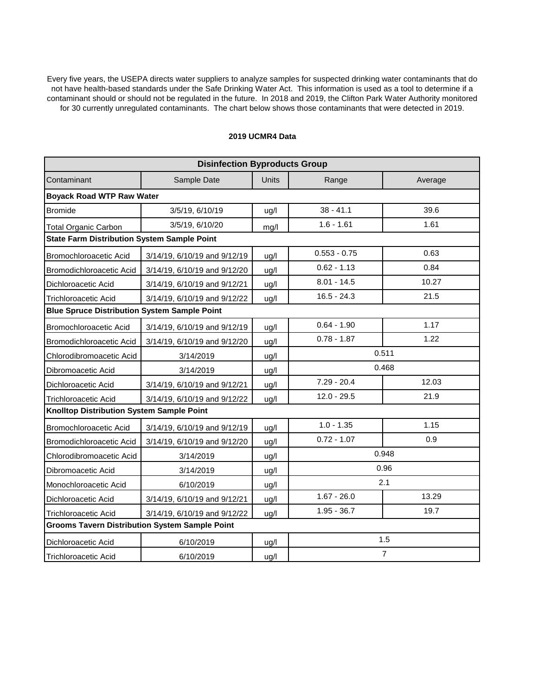Every five years, the USEPA directs water suppliers to analyze samples for suspected drinking water contaminants that do not have health-based standards under the Safe Drinking Water Act. This information is used as a tool to determine if a contaminant should or should not be regulated in the future. In 2018 and 2019, the Clifton Park Water Authority monitored for 30 currently unregulated contaminants. The chart below shows those contaminants that were detected in 2019.

#### **2019 UCMR4 Data**

| <b>Disinfection Byproducts Group</b>                  |                              |              |                |         |  |  |  |  |  |  |
|-------------------------------------------------------|------------------------------|--------------|----------------|---------|--|--|--|--|--|--|
| Contaminant                                           | Sample Date                  | <b>Units</b> | Range          | Average |  |  |  |  |  |  |
| <b>Boyack Road WTP Raw Water</b>                      |                              |              |                |         |  |  |  |  |  |  |
| <b>Bromide</b>                                        | 3/5/19, 6/10/19              | ug/l         | $38 - 41.1$    | 39.6    |  |  |  |  |  |  |
| <b>Total Organic Carbon</b>                           | 3/5/19, 6/10/20              | mg/l         | $1.6 - 1.61$   | 1.61    |  |  |  |  |  |  |
| <b>State Farm Distribution System Sample Point</b>    |                              |              |                |         |  |  |  |  |  |  |
| Bromochloroacetic Acid                                | 3/14/19, 6/10/19 and 9/12/19 | ug/l         | $0.553 - 0.75$ | 0.63    |  |  |  |  |  |  |
| Bromodichloroacetic Acid                              | 3/14/19, 6/10/19 and 9/12/20 | ug/l         | $0.62 - 1.13$  | 0.84    |  |  |  |  |  |  |
| Dichloroacetic Acid                                   | 3/14/19, 6/10/19 and 9/12/21 | ug/l         | $8.01 - 14.5$  | 10.27   |  |  |  |  |  |  |
| <b>Trichloroacetic Acid</b>                           | 3/14/19, 6/10/19 and 9/12/22 | ug/l         | $16.5 - 24.3$  | 21.5    |  |  |  |  |  |  |
| <b>Blue Spruce Distribution System Sample Point</b>   |                              |              |                |         |  |  |  |  |  |  |
| Bromochloroacetic Acid                                | 3/14/19, 6/10/19 and 9/12/19 | ug/l         | $0.64 - 1.90$  | 1.17    |  |  |  |  |  |  |
| Bromodichloroacetic Acid                              | 3/14/19, 6/10/19 and 9/12/20 | ug/l         | $0.78 - 1.87$  | 1.22    |  |  |  |  |  |  |
| Chlorodibromoacetic Acid                              | 0.511<br>3/14/2019<br>ug/l   |              |                |         |  |  |  |  |  |  |
| Dibromoacetic Acid                                    | 0.468<br>3/14/2019<br>ug/l   |              |                |         |  |  |  |  |  |  |
| Dichloroacetic Acid                                   | 3/14/19, 6/10/19 and 9/12/21 | ug/l         | $7.29 - 20.4$  | 12.03   |  |  |  |  |  |  |
| <b>Trichloroacetic Acid</b>                           | 3/14/19, 6/10/19 and 9/12/22 | ug/l         | $12.0 - 29.5$  | 21.9    |  |  |  |  |  |  |
| Knolltop Distribution System Sample Point             |                              |              |                |         |  |  |  |  |  |  |
| Bromochloroacetic Acid                                | 3/14/19, 6/10/19 and 9/12/19 | ug/l         | $1.0 - 1.35$   | 1.15    |  |  |  |  |  |  |
| Bromodichloroacetic Acid                              | 3/14/19, 6/10/19 and 9/12/20 | ug/l         | $0.72 - 1.07$  | 0.9     |  |  |  |  |  |  |
| Chlorodibromoacetic Acid                              | 3/14/2019                    | ug/l         |                | 0.948   |  |  |  |  |  |  |
| Dibromoacetic Acid                                    | 3/14/2019                    | ug/l         |                | 0.96    |  |  |  |  |  |  |
| Monochloroacetic Acid                                 | 6/10/2019                    | ug/l         |                | 2.1     |  |  |  |  |  |  |
| Dichloroacetic Acid                                   | 3/14/19, 6/10/19 and 9/12/21 | ug/l         | $1.67 - 26.0$  | 13.29   |  |  |  |  |  |  |
| <b>Trichloroacetic Acid</b>                           | 3/14/19, 6/10/19 and 9/12/22 | ug/l         | $1.95 - 36.7$  | 19.7    |  |  |  |  |  |  |
| <b>Grooms Tavern Distribution System Sample Point</b> |                              |              |                |         |  |  |  |  |  |  |
| Dichloroacetic Acid                                   | 6/10/2019                    | ug/l         |                | 1.5     |  |  |  |  |  |  |
| Trichloroacetic Acid                                  | 6/10/2019                    | ug/l         | $\overline{7}$ |         |  |  |  |  |  |  |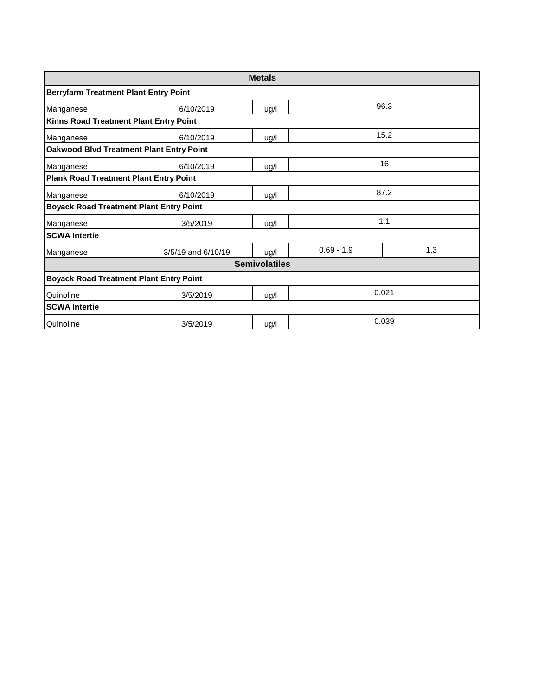| <b>Metals</b>                                  |                                                 |                      |              |       |  |  |  |  |  |  |  |  |
|------------------------------------------------|-------------------------------------------------|----------------------|--------------|-------|--|--|--|--|--|--|--|--|
| <b>Berryfarm Treatment Plant Entry Point</b>   |                                                 |                      |              |       |  |  |  |  |  |  |  |  |
| Manganese                                      | 96.3<br>6/10/2019<br>ug/l                       |                      |              |       |  |  |  |  |  |  |  |  |
| Kinns Road Treatment Plant Entry Point         |                                                 |                      |              |       |  |  |  |  |  |  |  |  |
| Manganese                                      | 6/10/2019                                       | 15.2<br>ug/l         |              |       |  |  |  |  |  |  |  |  |
|                                                | <b>Oakwood Blvd Treatment Plant Entry Point</b> |                      |              |       |  |  |  |  |  |  |  |  |
| Manganese                                      | 6/10/2019                                       | ug/l                 |              | 16    |  |  |  |  |  |  |  |  |
| <b>Plank Road Treatment Plant Entry Point</b>  |                                                 |                      |              |       |  |  |  |  |  |  |  |  |
| Manganese                                      | 87.2<br>6/10/2019<br>ug/l                       |                      |              |       |  |  |  |  |  |  |  |  |
| <b>Boyack Road Treatment Plant Entry Point</b> |                                                 |                      |              |       |  |  |  |  |  |  |  |  |
| Manganese                                      | 3/5/2019                                        | ug/l                 |              | 1.1   |  |  |  |  |  |  |  |  |
| <b>SCWA Intertie</b>                           |                                                 |                      |              |       |  |  |  |  |  |  |  |  |
| Manganese                                      | 3/5/19 and 6/10/19                              | ug/l                 | $0.69 - 1.9$ | 1.3   |  |  |  |  |  |  |  |  |
|                                                |                                                 | <b>Semivolatiles</b> |              |       |  |  |  |  |  |  |  |  |
| <b>Boyack Road Treatment Plant Entry Point</b> |                                                 |                      |              |       |  |  |  |  |  |  |  |  |
| Quinoline                                      | 0.021<br>3/5/2019<br>ug/l                       |                      |              |       |  |  |  |  |  |  |  |  |
| <b>SCWA Intertie</b>                           |                                                 |                      |              |       |  |  |  |  |  |  |  |  |
| Quinoline                                      | 3/5/2019                                        | ug/l                 |              | 0.039 |  |  |  |  |  |  |  |  |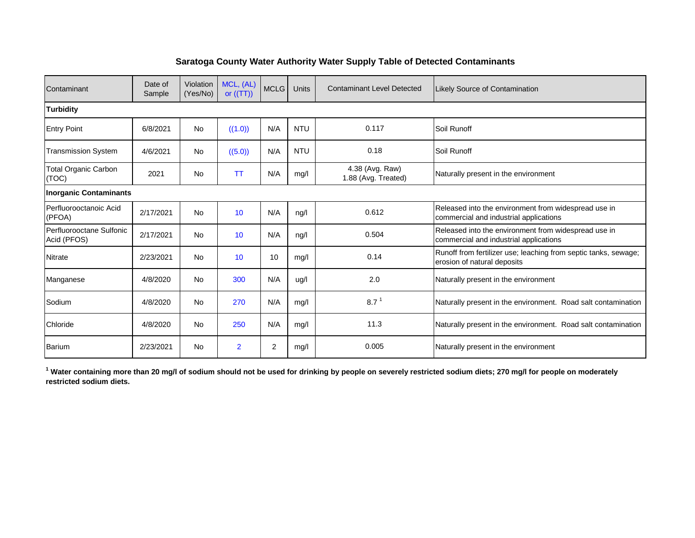#### **Saratoga County Water Authority Water Supply Table of Detected Contaminants**

| Contaminant                             | Date of<br>Sample | Violation<br>(Yes/No) | MCL, (AL)<br>or $((TT))$ | <b>MCLG</b> | <b>Units</b> | <b>Contaminant Level Detected</b>      | <b>Likely Source of Contamination</b>                                                          |
|-----------------------------------------|-------------------|-----------------------|--------------------------|-------------|--------------|----------------------------------------|------------------------------------------------------------------------------------------------|
| <b>Turbidity</b>                        |                   |                       |                          |             |              |                                        |                                                                                                |
| <b>Entry Point</b>                      | 6/8/2021          | <b>No</b>             | ((1.0))                  | N/A         | <b>NTU</b>   | 0.117                                  | Soil Runoff                                                                                    |
| <b>Transmission System</b>              | 4/6/2021          | <b>No</b>             | ((5.0))                  | N/A         | <b>NTU</b>   | 0.18                                   | Soil Runoff                                                                                    |
| <b>Total Organic Carbon</b><br>(TOC)    | 2021              | <b>No</b>             | <b>TT</b>                | N/A         | mg/l         | 4.38 (Avg. Raw)<br>1.88 (Avg. Treated) | Naturally present in the environment                                                           |
| <b>Inorganic Contaminants</b>           |                   |                       |                          |             |              |                                        |                                                                                                |
| Perfluorooctanoic Acid<br>(PFOA)        | 2/17/2021         | <b>No</b>             | 10                       | N/A         | nq/l         | 0.612                                  | Released into the environment from widespread use in<br>commercial and industrial applications |
| Perfluorooctane Sulfonic<br>Acid (PFOS) | 2/17/2021         | <b>No</b>             | 10                       | N/A         | ng/l         | 0.504                                  | Released into the environment from widespread use in<br>commercial and industrial applications |
| <b>Nitrate</b>                          | 2/23/2021         | <b>No</b>             | 10                       | 10          | mq/l         | 0.14                                   | Runoff from fertilizer use; leaching from septic tanks, sewage;<br>erosion of natural deposits |
| Manganese                               | 4/8/2020          | <b>No</b>             | 300                      | N/A         | ug/l         | 2.0                                    | Naturally present in the environment                                                           |
| Sodium                                  | 4/8/2020          | <b>No</b>             | 270                      | N/A         | mg/l         | 8.7 <sup>1</sup>                       | Naturally present in the environment. Road salt contamination                                  |
| Chloride                                | 4/8/2020          | <b>No</b>             | 250                      | N/A         | mq/l         | 11.3                                   | Naturally present in the environment. Road salt contamination                                  |
| Barium                                  | 2/23/2021         | <b>No</b>             | $\overline{2}$           | 2           | mq/          | 0.005                                  | Naturally present in the environment                                                           |

<sup>1</sup> Water containing more than 20 mg/l of sodium should not be used for drinking by people on severely restricted sodium diets; 270 mg/l for people on moderately **restricted sodium diets.**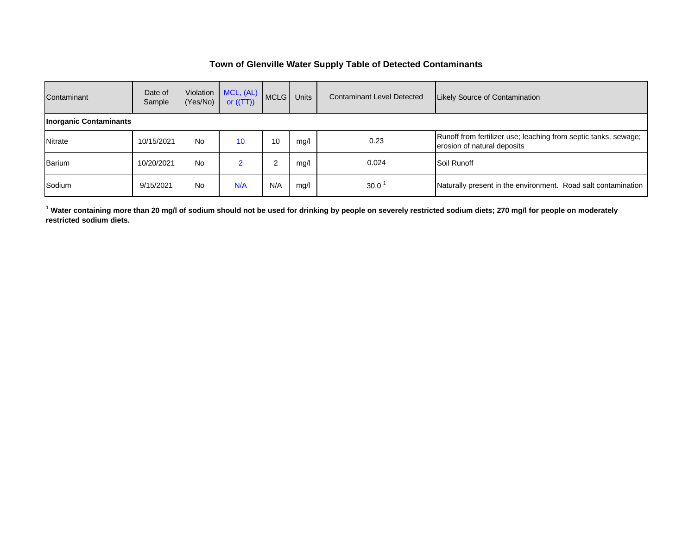#### **Town of Glenville Water Supply Table of Detected Contaminants**

| Contaminant                   | Date of<br>Sample | Violation<br>(Yes/No) | MCL, (AL)<br>or $((TT))$ | <b>MCLG</b> | <b>Units</b> | <b>Contaminant Level Detected</b> | <b>Likely Source of Contamination</b>                                                          |
|-------------------------------|-------------------|-----------------------|--------------------------|-------------|--------------|-----------------------------------|------------------------------------------------------------------------------------------------|
| <b>Inorganic Contaminants</b> |                   |                       |                          |             |              |                                   |                                                                                                |
| Nitrate                       | 10/15/2021        | No                    | 10                       | 10          | mq/l         | 0.23                              | Runoff from fertilizer use; leaching from septic tanks, sewage;<br>erosion of natural deposits |
| Barium                        | 10/20/2021        | No                    |                          | 2           | mq/l         | 0.024                             | Soil Runoff                                                                                    |
| Sodium                        | 9/15/2021         | No                    | N/A                      | N/A         | mq/l         | $30.0^{\circ}$                    | Naturally present in the environment. Road salt contamination                                  |

**1 Water containing more than 20 mg/l of sodium should not be used for drinking by people on severely restricted sodium diets; 270 mg/l for people on moderately restricted sodium diets.**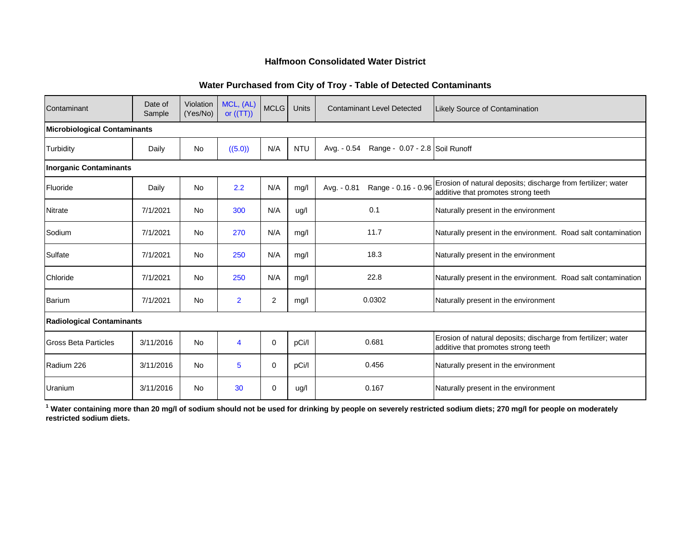#### **Halfmoon Consolidated Water District**

#### **Water Purchased from City of Troy - Table of Detected Contaminants**

| Contaminant                         | Date of<br>Sample | Violation<br>(Yes/No) | MCL, (AL)<br>or $((TT))$ | <b>MCLG</b>    | <b>Units</b> | <b>Contaminant Level Detected</b>             | Likely Source of Contamination                                                                       |
|-------------------------------------|-------------------|-----------------------|--------------------------|----------------|--------------|-----------------------------------------------|------------------------------------------------------------------------------------------------------|
| <b>Microbiological Contaminants</b> |                   |                       |                          |                |              |                                               |                                                                                                      |
| Turbidity                           | Daily             | <b>No</b>             | ((5.0))                  | N/A            | <b>NTU</b>   | Avg. - 0.54<br>Range - 0.07 - 2.8 Soil Runoff |                                                                                                      |
| <b>Inorganic Contaminants</b>       |                   |                       |                          |                |              |                                               |                                                                                                      |
| Fluoride                            | Daily             | <b>No</b>             | 2.2                      | N/A            | mg/l         | Range - 0.16 - 0.96<br>Avg. - 0.81            | Erosion of natural deposits; discharge from fertilizer; water<br>additive that promotes strong teeth |
| <b>Nitrate</b>                      | 7/1/2021          | <b>No</b>             | 300                      | N/A            | ug/l         | 0.1                                           | Naturally present in the environment                                                                 |
| Sodium                              | 7/1/2021          | <b>No</b>             | 270                      | N/A            | mg/l         | 11.7                                          | Naturally present in the environment. Road salt contamination                                        |
| Sulfate                             | 7/1/2021          | <b>No</b>             | 250                      | N/A            | mg/l         | 18.3                                          | Naturally present in the environment                                                                 |
| Chloride                            | 7/1/2021          | <b>No</b>             | 250                      | N/A            | mg/l         | 22.8                                          | Naturally present in the environment. Road salt contamination                                        |
| Barium                              | 7/1/2021          | <b>No</b>             | $\overline{2}$           | $\overline{2}$ | mg/l         | 0.0302                                        | Naturally present in the environment                                                                 |
| <b>Radiological Contaminants</b>    |                   |                       |                          |                |              |                                               |                                                                                                      |
| <b>Gross Beta Particles</b>         | 3/11/2016         | <b>No</b>             | 4                        | $\mathbf 0$    | pCi/l        | 0.681                                         | Erosion of natural deposits; discharge from fertilizer; water<br>additive that promotes strong teeth |
| Radium 226                          | 3/11/2016         | <b>No</b>             | 5                        | 0              | pCi/l        | 0.456                                         | Naturally present in the environment                                                                 |
| Uranium                             | 3/11/2016         | <b>No</b>             | 30                       | 0              | ug/l         | 0.167                                         | Naturally present in the environment                                                                 |

**1 Water containing more than 20 mg/l of sodium should not be used for drinking by people on severely restricted sodium diets; 270 mg/l for people on moderately restricted sodium diets.**